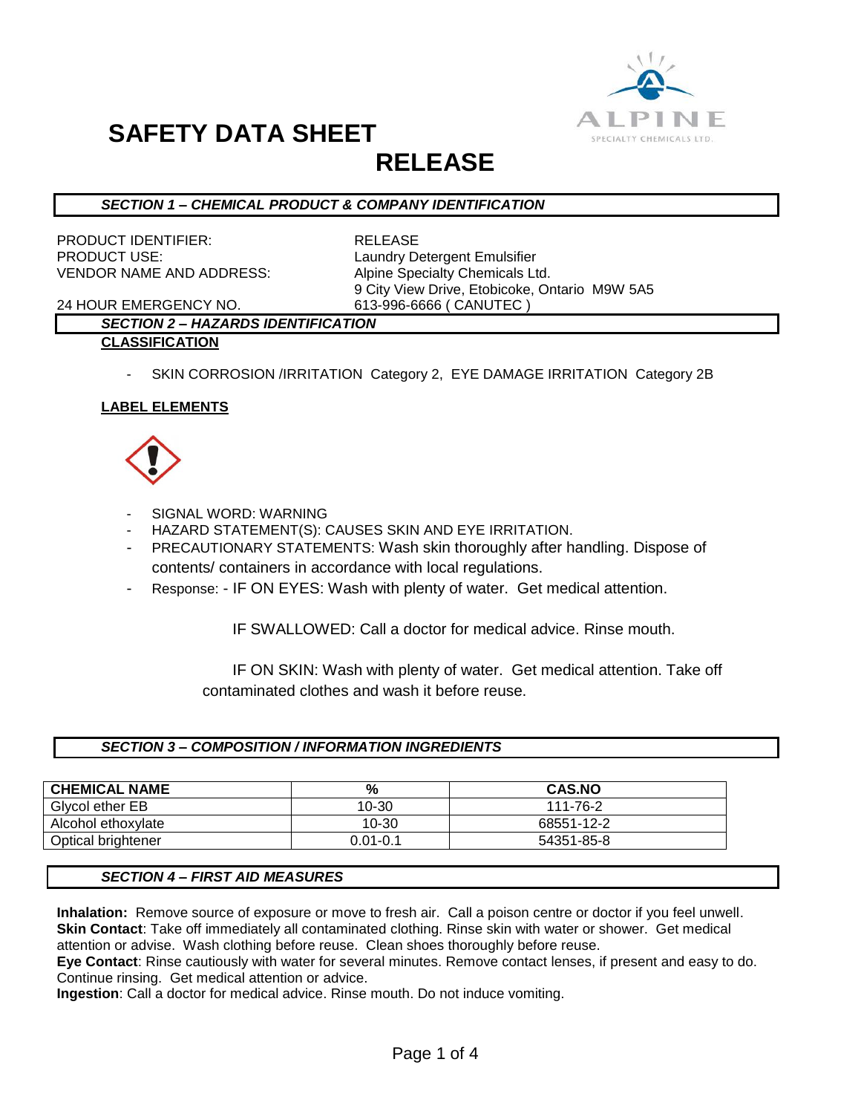

## **RELEASE**

#### *SECTION 1 – CHEMICAL PRODUCT & COMPANY IDENTIFICATION*

PRODUCT IDENTIFIER: RELEASE PRODUCT USE: Laundry Detergent Emulsifier VENDOR NAME AND ADDRESS: Alpine Specialty Chemicals Ltd.

9 City View Drive, Etobicoke, Ontario M9W 5A5

24 HOUR EMERGENCY NO. 613-996-6666 ( CANUTEC )

#### *SECTION 2 – HAZARDS IDENTIFICATION* **CLASSIFICATION**

- - SKIN CORROSION /IRRITATION Category 2, EYE DAMAGE IRRITATION Category 2B

#### **LABEL ELEMENTS**



- SIGNAL WORD: WARNING
- HAZARD STATEMENT(S): CAUSES SKIN AND EYE IRRITATION.
- PRECAUTIONARY STATEMENTS: Wash skin thoroughly after handling. Dispose of contents/ containers in accordance with local regulations.
- Response: IF ON EYES: Wash with plenty of water. Get medical attention.

IF SWALLOWED: Call a doctor for medical advice. Rinse mouth.

 IF ON SKIN: Wash with plenty of water. Get medical attention. Take off contaminated clothes and wash it before reuse.

#### *SECTION 3 – COMPOSITION / INFORMATION INGREDIENTS*

| <b>CHEMICAL NAME</b> | %            | <b>CAS.NO</b> |
|----------------------|--------------|---------------|
| Glvcol ether EB      | 10-30        | 111-76-2      |
| Alcohol ethoxylate   | 10-30        | 68551-12-2    |
| Optical brightener   | $0.01 - 0.1$ | 54351-85-8    |

#### *SECTION 4 – FIRST AID MEASURES*

**Inhalation:** Remove source of exposure or move to fresh air. Call a poison centre or doctor if you feel unwell. **Skin Contact**: Take off immediately all contaminated clothing. Rinse skin with water or shower. Get medical attention or advise. Wash clothing before reuse. Clean shoes thoroughly before reuse.

**Eye Contact**: Rinse cautiously with water for several minutes. Remove contact lenses, if present and easy to do. Continue rinsing. Get medical attention or advice.

**Ingestion**: Call a doctor for medical advice. Rinse mouth. Do not induce vomiting.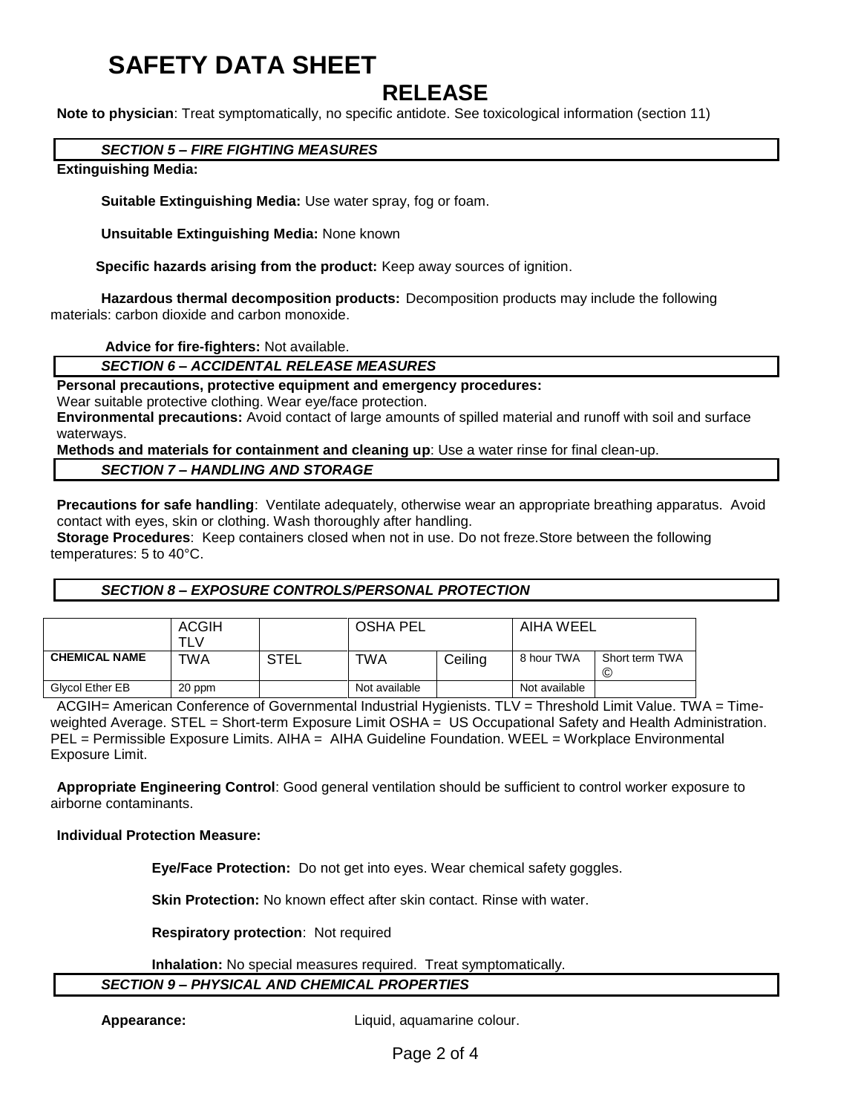### **RELEASE**

**Note to physician**: Treat symptomatically, no specific antidote. See toxicological information (section 11)

#### *SECTION 5 – FIRE FIGHTING MEASURES*

#### **Extinguishing Media:**

**Suitable Extinguishing Media:** Use water spray, fog or foam.

**Unsuitable Extinguishing Media:** None known

 **Specific hazards arising from the product:** Keep away sources of ignition.

**Hazardous thermal decomposition products:** Decomposition products may include the following materials: carbon dioxide and carbon monoxide.

**Advice for fire-fighters:** Not available.

*SECTION 6 – ACCIDENTAL RELEASE MEASURES*

#### **Personal precautions, protective equipment and emergency procedures:**

Wear suitable protective clothing. Wear eye/face protection.

**Environmental precautions:** Avoid contact of large amounts of spilled material and runoff with soil and surface waterways.

**Methods and materials for containment and cleaning up**: Use a water rinse for final clean-up.

#### *SECTION 7 – HANDLING AND STORAGE*

**Precautions for safe handling**: Ventilate adequately, otherwise wear an appropriate breathing apparatus. Avoid contact with eyes, skin or clothing. Wash thoroughly after handling.

**Storage Procedures**: Keep containers closed when not in use. Do not freze.Store between the following temperatures: 5 to 40°C.

#### *SECTION 8 – EXPOSURE CONTROLS/PERSONAL PROTECTION*

|                      | <b>ACGIH</b><br>⊤L∨ |             | <b>OSHA PEL</b> |         | AIHA WEEL     |                     |
|----------------------|---------------------|-------------|-----------------|---------|---------------|---------------------|
| <b>CHEMICAL NAME</b> | TWA                 | <b>STEL</b> | TWA             | Ceiling | 8 hour TWA    | Short term TWA<br>© |
| Glycol Ether EB      | 20 ppm              |             | Not available   |         | Not available |                     |

ACGIH= American Conference of Governmental Industrial Hygienists. TLV = Threshold Limit Value. TWA = Timeweighted Average. STEL = Short-term Exposure Limit OSHA = US Occupational Safety and Health Administration. PEL = Permissible Exposure Limits. AIHA = AIHA Guideline Foundation. WEEL = Workplace Environmental Exposure Limit.

**Appropriate Engineering Control**: Good general ventilation should be sufficient to control worker exposure to airborne contaminants.

#### **Individual Protection Measure:**

**Eye/Face Protection:** Do not get into eyes. Wear chemical safety goggles.

**Skin Protection:** No known effect after skin contact. Rinse with water.

**Respiratory protection**: Not required

**Inhalation:** No special measures required. Treat symptomatically.

#### *SECTION 9 – PHYSICAL AND CHEMICAL PROPERTIES*

**Appearance:** Liquid, aquamarine colour.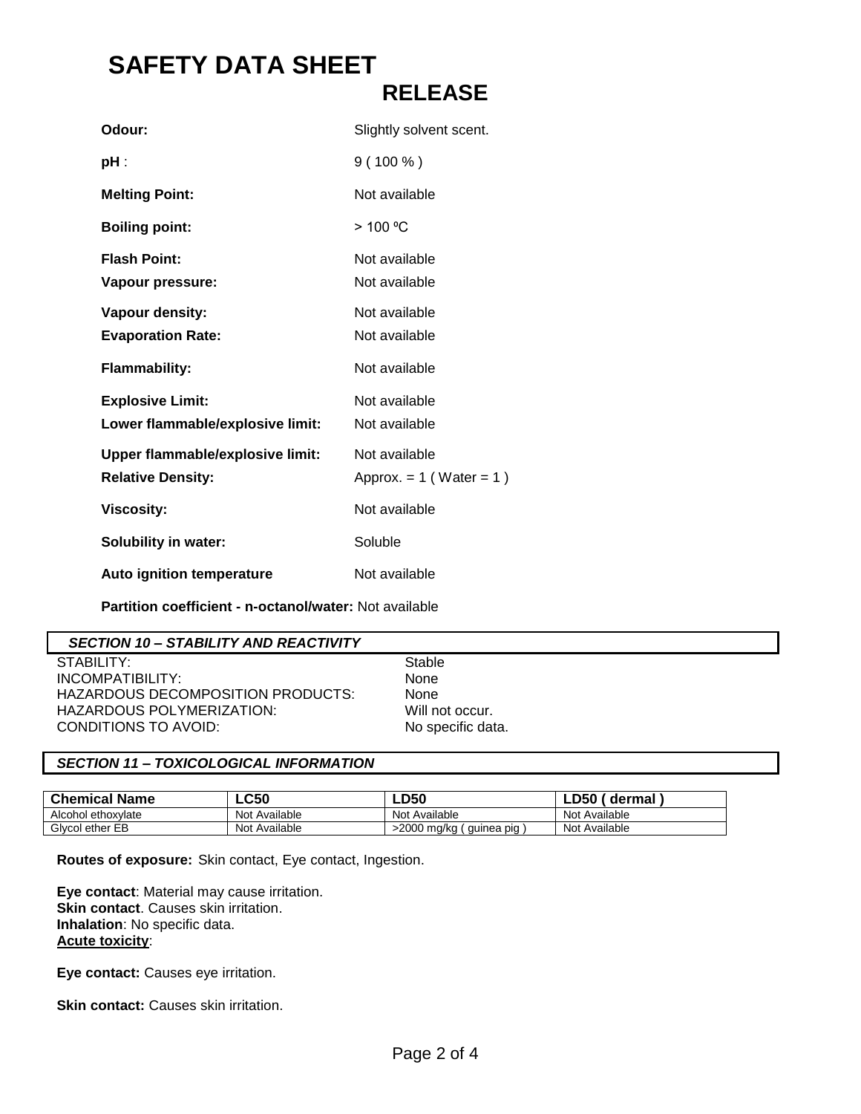| Odour:                           | Slightly solvent scent.      |
|----------------------------------|------------------------------|
| pH :                             | $9(100\%)$                   |
| <b>Melting Point:</b>            | Not available                |
| <b>Boiling point:</b>            | > 100 °C                     |
| <b>Flash Point:</b>              | Not available                |
| Vapour pressure:                 | Not available                |
| Vapour density:                  | Not available                |
| <b>Evaporation Rate:</b>         | Not available                |
| <b>Flammability:</b>             | Not available                |
| <b>Explosive Limit:</b>          | Not available                |
| Lower flammable/explosive limit: | Not available                |
| Upper flammable/explosive limit: | Not available                |
| <b>Relative Density:</b>         | Approx. $= 1$ (Water $= 1$ ) |
| <b>Viscosity:</b>                | Not available                |
| <b>Solubility in water:</b>      | Soluble                      |
| <b>Auto ignition temperature</b> | Not available                |

**Partition coefficient - n-octanol/water:** Not available

#### *SECTION 10 – STABILITY AND REACTIVITY*

STABILITY: Stable INCOMPATIBILITY: None HAZARDOUS DECOMPOSITION PRODUCTS: None HAZARDOUS POLYMERIZATION: Will not occur. CONDITIONS TO AVOID: No specific data.

#### *SECTION 11 – TOXICOLOGICAL INFORMATION*

| <b>Chemical Name</b> | $\mathsf{LC50}$ | <b>LD50</b>               | dermal        |
|----------------------|-----------------|---------------------------|---------------|
| Alcohol ethoxylate   | Not Available   | Not Available             | Not Available |
| Givcol ether EB      | Not Available   | >2000 mg/kg<br>quinea pig | Not Available |

**Routes of exposure:** Skin contact, Eye contact, Ingestion.

**Eye contact**: Material may cause irritation. **Skin contact**. Causes skin irritation. **Inhalation**: No specific data. **Acute toxicity**:

**Eye contact:** Causes eye irritation.

**Skin contact:** Causes skin irritation.